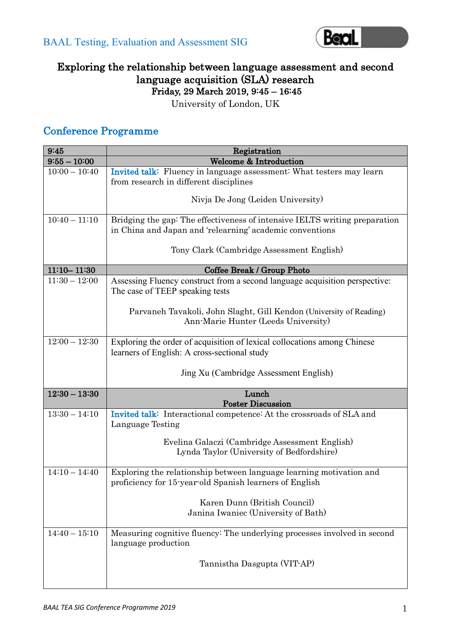

# Exploring the relationship between language assessment and second language acquisition (SLA) research Friday, 29 March 2019, 9:45 – 16:45

University of London, UK

# Conference Programme

| 9:45            | Registration                                                                                                                                                                          |
|-----------------|---------------------------------------------------------------------------------------------------------------------------------------------------------------------------------------|
| $9:55 - 10:00$  | <b>Welcome &amp; Introduction</b>                                                                                                                                                     |
| $10:00 - 10:40$ | Invited talk: Fluency in language assessment: What testers may learn<br>from research in different disciplines                                                                        |
|                 | Nivja De Jong (Leiden University)                                                                                                                                                     |
| $10:40 - 11:10$ | Bridging the gap: The effectiveness of intensive IELTS writing preparation<br>in China and Japan and 'relearning' academic conventions                                                |
|                 | Tony Clark (Cambridge Assessment English)                                                                                                                                             |
| $11:10 - 11:30$ | Coffee Break / Group Photo                                                                                                                                                            |
| $11:30 - 12:00$ | Assessing Fluency construct from a second language acquisition perspective:<br>The case of TEEP speaking tests<br>Parvaneh Tavakoli, John Slaght, Gill Kendon (University of Reading) |
|                 | Ann-Marie Hunter (Leeds University)                                                                                                                                                   |
| $12:00 - 12:30$ | Exploring the order of acquisition of lexical collocations among Chinese<br>learners of English: A cross-sectional study                                                              |
|                 | Jing Xu (Cambridge Assessment English)                                                                                                                                                |
| $12:30 - 13:30$ | Lunch<br><b>Poster Discussion</b>                                                                                                                                                     |
| $13:30 - 14:10$ | Invited talk: Interactional competence: At the crossroads of SLA and<br>Language Testing                                                                                              |
|                 | Evelina Galaczi (Cambridge Assessment English)<br>Lynda Taylor (University of Bedfordshire)                                                                                           |
| $14:10 - 14:40$ | Exploring the relationship between language learning motivation and<br>proficiency for 15-year-old Spanish learners of English                                                        |
|                 | Karen Dunn (British Council)<br>Janina Iwaniec (University of Bath)                                                                                                                   |
| $14:40 - 15:10$ | Measuring cognitive fluency: The underlying processes involved in second<br>language production                                                                                       |
|                 | Tannistha Dasgupta (VIT-AP)                                                                                                                                                           |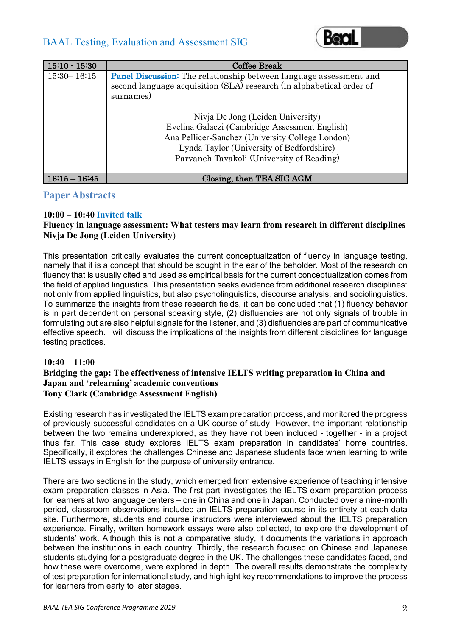

| $15:10 - 15:30$ | <b>Coffee Break</b>                                                                                                                               |
|-----------------|---------------------------------------------------------------------------------------------------------------------------------------------------|
| $15:30 - 16:15$ | <b>Panel Discussion:</b> The relationship between language assessment and<br>second language acquisition (SLA) research (in alphabetical order of |
|                 | surnames)                                                                                                                                         |
|                 | Nivja De Jong (Leiden University)                                                                                                                 |
|                 | Evelina Galaczi (Cambridge Assessment English)                                                                                                    |
|                 | Ana Pellicer-Sanchez (University College London)                                                                                                  |
|                 | Lynda Taylor (University of Bedfordshire)                                                                                                         |
|                 | Parvaneh Tavakoli (University of Reading)                                                                                                         |
| $16:15 - 16:45$ | Closing, then TEA SIG AGM                                                                                                                         |

### **Paper Abstracts**

#### **10:00 – 10:40 Invited talk**

#### **Fluency in language assessment: What testers may learn from research in different disciplines Nivja De Jong (Leiden University**)

This presentation critically evaluates the current conceptualization of fluency in language testing, namely that it is a concept that should be sought in the ear of the beholder. Most of the research on fluency that is usually cited and used as empirical basis for the current conceptualization comes from the field of applied linguistics. This presentation seeks evidence from additional research disciplines: not only from applied linguistics, but also psycholinguistics, discourse analysis, and sociolinguistics. To summarize the insights from these research fields, it can be concluded that (1) fluency behavior is in part dependent on personal speaking style, (2) disfluencies are not only signals of trouble in formulating but are also helpful signals for the listener, and (3) disfluencies are part of communicative effective speech. I will discuss the implications of the insights from different disciplines for language testing practices.

#### **10:40 – 11:00**

#### **Bridging the gap: The effectiveness of intensive IELTS writing preparation in China and Japan and 'relearning' academic conventions Tony Clark (Cambridge Assessment English)**

Existing research has investigated the IELTS exam preparation process, and monitored the progress of previously successful candidates on a UK course of study. However, the important relationship between the two remains underexplored, as they have not been included - together - in a project thus far. This case study explores IELTS exam preparation in candidates' home countries. Specifically, it explores the challenges Chinese and Japanese students face when learning to write IELTS essays in English for the purpose of university entrance.

There are two sections in the study, which emerged from extensive experience of teaching intensive exam preparation classes in Asia. The first part investigates the IELTS exam preparation process for learners at two language centers – one in China and one in Japan. Conducted over a nine-month period, classroom observations included an IELTS preparation course in its entirety at each data site. Furthermore, students and course instructors were interviewed about the IELTS preparation experience. Finally, written homework essays were also collected, to explore the development of students' work. Although this is not a comparative study, it documents the variations in approach between the institutions in each country. Thirdly, the research focused on Chinese and Japanese students studying for a postgraduate degree in the UK. The challenges these candidates faced, and how these were overcome, were explored in depth. The overall results demonstrate the complexity of test preparation for international study, and highlight key recommendations to improve the process for learners from early to later stages.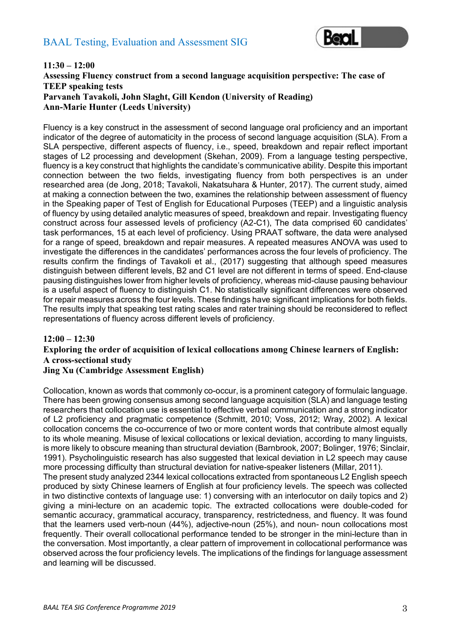

#### **11:30 – 12:00 Assessing Fluency construct from a second language acquisition perspective: The case of TEEP speaking tests Parvaneh Tavakoli, John Slaght, Gill Kendon (University of Reading) Ann-Marie Hunter (Leeds University)**

Fluency is a key construct in the assessment of second language oral proficiency and an important indicator of the degree of automaticity in the process of second language acquisition (SLA). From a SLA perspective, different aspects of fluency, i.e., speed, breakdown and repair reflect important stages of L2 processing and development (Skehan, 2009). From a language testing perspective, fluency is a key construct that highlights the candidate's communicative ability. Despite this important connection between the two fields, investigating fluency from both perspectives is an under researched area (de Jong, 2018; Tavakoli, Nakatsuhara & Hunter, 2017). The current study, aimed at making a connection between the two, examines the relationship between assessment of fluency in the Speaking paper of Test of English for Educational Purposes (TEEP) and a linguistic analysis of fluency by using detailed analytic measures of speed, breakdown and repair. Investigating fluency construct across four assessed levels of proficiency (A2-C1), The data comprised 60 candidates' task performances, 15 at each level of proficiency. Using PRAAT software, the data were analysed for a range of speed, breakdown and repair measures. A repeated measures ANOVA was used to investigate the differences in the candidates' performances across the four levels of proficiency. The results confirm the findings of Tavakoli et al., (2017) suggesting that although speed measures distinguish between different levels, B2 and C1 level are not different in terms of speed. End-clause pausing distinguishes lower from higher levels of proficiency, whereas mid-clause pausing behaviour is a useful aspect of fluency to distinguish C1. No statistically significant differences were observed for repair measures across the four levels. These findings have significant implications for both fields. The results imply that speaking test rating scales and rater training should be reconsidered to reflect representations of fluency across different levels of proficiency.

#### **12:00 – 12:30 Exploring the order of acquisition of lexical collocations among Chinese learners of English: A cross-sectional study Jing Xu (Cambridge Assessment English)**

Collocation, known as words that commonly co-occur, is a prominent category of formulaic language. There has been growing consensus among second language acquisition (SLA) and language testing researchers that collocation use is essential to effective verbal communication and a strong indicator of L2 proficiency and pragmatic competence (Schmitt, 2010; Voss, 2012; Wray, 2002). A lexical collocation concerns the co-occurrence of two or more content words that contribute almost equally to its whole meaning. Misuse of lexical collocations or lexical deviation, according to many linguists, is more likely to obscure meaning than structural deviation (Barnbrook, 2007; Bolinger, 1976; Sinclair, 1991). Psycholinguistic research has also suggested that lexical deviation in L2 speech may cause more processing difficulty than structural deviation for native-speaker listeners (Millar, 2011). The present study analyzed 2344 lexical collocations extracted from spontaneous L2 English speech produced by sixty Chinese learners of English at four proficiency levels. The speech was collected in two distinctive contexts of language use: 1) conversing with an interlocutor on daily topics and 2) giving a mini-lecture on an academic topic. The extracted collocations were double-coded for semantic accuracy, grammatical accuracy, transparency, restrictedness, and fluency. It was found that the learners used verb-noun (44%), adjective-noun (25%), and noun- noun collocations most frequently. Their overall collocational performance tended to be stronger in the mini-lecture than in the conversation. Most importantly, a clear pattern of improvement in collocational performance was observed across the four proficiency levels. The implications of the findings for language assessment and learning will be discussed.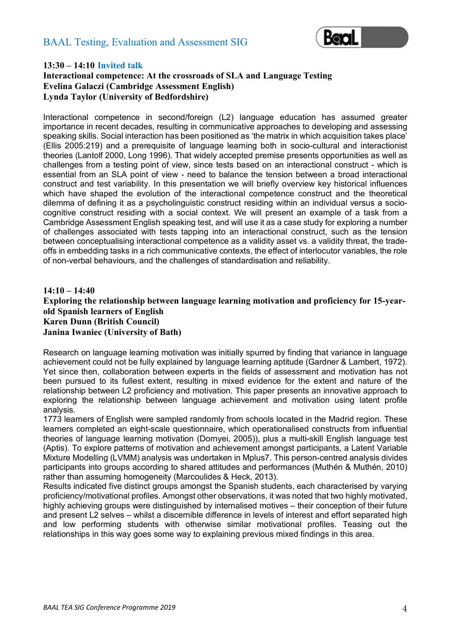

#### **13:30 – 14:10 Invited talk**

#### **Interactional competence: At the crossroads of SLA and Language Testing Evelina Galaczi (Cambridge Assessment English) Lynda Taylor (University of Bedfordshire)**

Interactional competence in second/foreign (L2) language education has assumed greater importance in recent decades, resulting in communicative approaches to developing and assessing speaking skills. Social interaction has been positioned as 'the matrix in which acquisition takes place' (Ellis 2005:219) and a prerequisite of language learning both in socio-cultural and interactionist theories (Lantolf 2000, Long 1996). That widely accepted premise presents opportunities as well as challenges from a testing point of view, since tests based on an interactional construct - which is essential from an SLA point of view - need to balance the tension between a broad interactional construct and test variability. In this presentation we will briefly overview key historical influences which have shaped the evolution of the interactional competence construct and the theoretical dilemma of defining it as a psycholinguistic construct residing within an individual versus a sociocognitive construct residing with a social context. We will present an example of a task from a Cambridge Assessment English speaking test, and will use it as a case study for exploring a number of challenges associated with tests tapping into an interactional construct, such as the tension between conceptualising interactional competence as a validity asset vs. a validity threat, the tradeoffs in embedding tasks in a rich communicative contexts, the effect of interlocutor variables, the role of non-verbal behaviours, and the challenges of standardisation and reliability.

#### **14:10 – 14:40 Exploring the relationship between language learning motivation and proficiency for 15-yearold Spanish learners of English Karen Dunn (British Council) Janina Iwaniec (University of Bath)**

Research on language learning motivation was initially spurred by finding that variance in language achievement could not be fully explained by language learning aptitude (Gardner & Lambert, 1972). Yet since then, collaboration between experts in the fields of assessment and motivation has not been pursued to its fullest extent, resulting in mixed evidence for the extent and nature of the relationship between L2 proficiency and motivation. This paper presents an innovative approach to exploring the relationship between language achievement and motivation using latent profile analysis.

1773 learners of English were sampled randomly from schools located in the Madrid region. These learners completed an eight-scale questionnaire, which operationalised constructs from influential theories of language learning motivation (Dornyei, 2005)), plus a multi-skill English language test (Aptis). To explore patterns of motivation and achievement amongst participants, a Latent Variable Mixture Modelling (LVMM) analysis was undertaken in Mplus7. This person-centred analysis divides participants into groups according to shared attitudes and performances (Muthén & Muthén, 2010) rather than assuming homogeneity (Marcoulides & Heck, 2013).

Results indicated five distinct groups amongst the Spanish students, each characterised by varying proficiency/motivational profiles. Amongst other observations, it was noted that two highly motivated, highly achieving groups were distinguished by internalised motives – their conception of their future and present L2 selves – whilst a discernible difference in levels of interest and effort separated high and low performing students with otherwise similar motivational profiles. Teasing out the relationships in this way goes some way to explaining previous mixed findings in this area.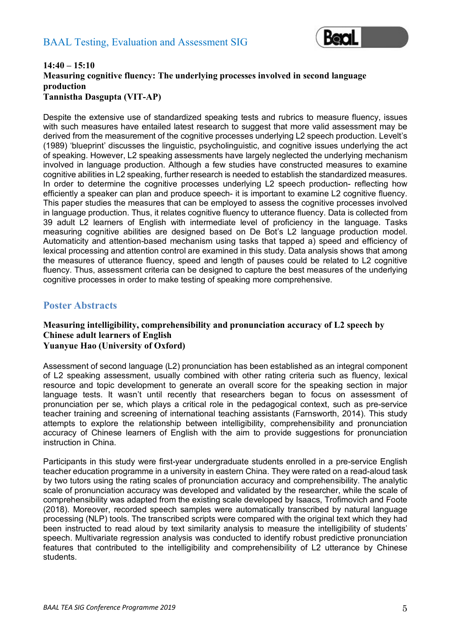

#### **14:40 – 15:10 Measuring cognitive fluency: The underlying processes involved in second language production Tannistha Dasgupta (VIT-AP)**

Despite the extensive use of standardized speaking tests and rubrics to measure fluency, issues with such measures have entailed latest research to suggest that more valid assessment may be derived from the measurement of the cognitive processes underlying L2 speech production. Levelt's (1989) 'blueprint' discusses the linguistic, psycholinguistic, and cognitive issues underlying the act of speaking. However, L2 speaking assessments have largely neglected the underlying mechanism involved in language production. Although a few studies have constructed measures to examine cognitive abilities in L2 speaking, further research is needed to establish the standardized measures. In order to determine the cognitive processes underlying L2 speech production- reflecting how efficiently a speaker can plan and produce speech- it is important to examine L2 cognitive fluency. This paper studies the measures that can be employed to assess the cognitive processes involved in language production. Thus, it relates cognitive fluency to utterance fluency. Data is collected from 39 adult L2 learners of English with intermediate level of proficiency in the language. Tasks measuring cognitive abilities are designed based on De Bot's L2 language production model. Automaticity and attention-based mechanism using tasks that tapped a) speed and efficiency of lexical processing and attention control are examined in this study. Data analysis shows that among the measures of utterance fluency, speed and length of pauses could be related to L2 cognitive fluency. Thus, assessment criteria can be designed to capture the best measures of the underlying cognitive processes in order to make testing of speaking more comprehensive.

#### **Poster Abstracts**

#### **Measuring intelligibility, comprehensibility and pronunciation accuracy of L2 speech by Chinese adult learners of English Yuanyue Hao (University of Oxford)**

Assessment of second language (L2) pronunciation has been established as an integral component of L2 speaking assessment, usually combined with other rating criteria such as fluency, lexical resource and topic development to generate an overall score for the speaking section in major language tests. It wasn't until recently that researchers began to focus on assessment of pronunciation per se, which plays a critical role in the pedagogical context, such as pre-service teacher training and screening of international teaching assistants (Farnsworth, 2014). This study attempts to explore the relationship between intelligibility, comprehensibility and pronunciation accuracy of Chinese learners of English with the aim to provide suggestions for pronunciation instruction in China.

Participants in this study were first-year undergraduate students enrolled in a pre-service English teacher education programme in a university in eastern China. They were rated on a read-aloud task by two tutors using the rating scales of pronunciation accuracy and comprehensibility. The analytic scale of pronunciation accuracy was developed and validated by the researcher, while the scale of comprehensibility was adapted from the existing scale developed by Isaacs, Trofimovich and Foote (2018). Moreover, recorded speech samples were automatically transcribed by natural language processing (NLP) tools. The transcribed scripts were compared with the original text which they had been instructed to read aloud by text similarity analysis to measure the intelligibility of students' speech. Multivariate regression analysis was conducted to identify robust predictive pronunciation features that contributed to the intelligibility and comprehensibility of L2 utterance by Chinese students.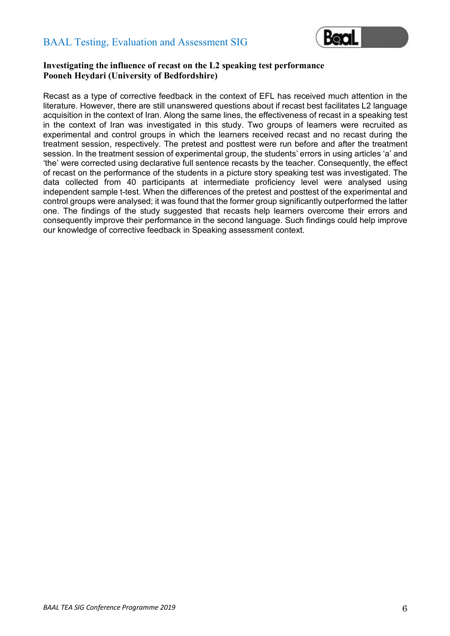

#### **Investigating the influence of recast on the L2 speaking test performance Pooneh Heydari (University of Bedfordshire)**

Recast as a type of corrective feedback in the context of EFL has received much attention in the literature. However, there are still unanswered questions about if recast best facilitates L2 language acquisition in the context of Iran. Along the same lines, the effectiveness of recast in a speaking test in the context of Iran was investigated in this study. Two groups of learners were recruited as experimental and control groups in which the learners received recast and no recast during the treatment session, respectively. The pretest and posttest were run before and after the treatment session. In the treatment session of experimental group, the students' errors in using articles 'a' and 'the' were corrected using declarative full sentence recasts by the teacher. Consequently, the effect of recast on the performance of the students in a picture story speaking test was investigated. The data collected from 40 participants at intermediate proficiency level were analysed using independent sample t-test. When the differences of the pretest and posttest of the experimental and control groups were analysed; it was found that the former group significantly outperformed the latter one. The findings of the study suggested that recasts help learners overcome their errors and consequently improve their performance in the second language. Such findings could help improve our knowledge of corrective feedback in Speaking assessment context.